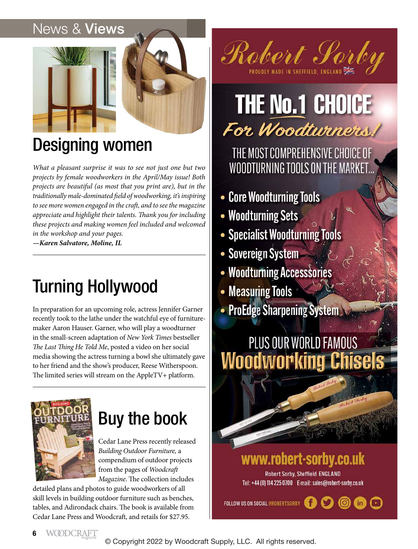#### News & Views



### Designing women

*What a pleasant surprise it was to see not just one but two projects by female woodworkers in the April/May issue! Both projects are beautiful (as most that you print are), but in the traditionally male-dominated field of woodworking, it's inspiring to see more women engaged in the craft, and to see the magazine appreciate and highlight their talents. Thank you for including these projects and making women feel included and welcomed in the workshop and your pages.*

*—Karen Salvatore, Moline, IL*

## Turning Hollywood

In preparation for an upcoming role, actress Jennifer Garner recently took to the lathe under the watchful eye of furnituremaker Aaron Hauser. Garner, who will play a woodturner in the small-screen adaptation of *New York Times* bestseller *The Last Thing He Told Me*, posted a video on her social media showing the actress turning a bowl she ultimately gave to her friend and the show's producer, Reese Witherspoon. The limited series will stream on the AppleTV+ platform.



## Buy the book

Cedar Lane Press recently released *Building Outdoor Furniture,* a compendium of outdoor projects from the pages of *Woodcraft Magazine*. The collection includes

detailed plans and photos to guide woodworkers of all skill levels in building outdoor furniture such as benches, tables, and Adirondack chairs. The book is available from Cedar Lane Press and Woodcraft, and retails for \$27.95.

PROUDLY MADE IN SHEFFIELD, ENGLAND

# **THE No.1 CHOICE** For Woodtwiners!

THE MOST COMPREHENSIVE CHOICE OF WOODTURNING TOOLS ON THE MARKET...

- Core Woodturning Tools
- Woodturning Sets
- Specialist Woodturning Tools
- Sovereign System
- Woodturning Accesssories
- Measuring Tools
- ProEdge Sharpening System

### PLUS OUR WORLD FAMOUS **Woodworking Chisels**



www.robert-sorby.co.uk

Robert Sorby, Sheffield ENGLAND Tel: +44 (0) 114 225 0700 E-mail: sales@robert-sorby.co.uk

FOLLOW US ON SOCIAL @ROBERTSORBY Œ

© Copyright 2022 by Woodcraft Supply, LLC. All rights reserved.